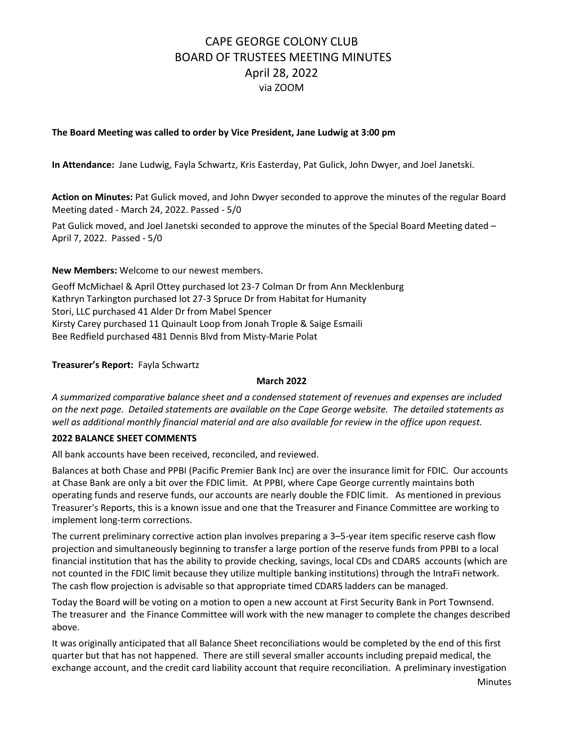#### **The Board Meeting was called to order by Vice President, Jane Ludwig at 3:00 pm**

**In Attendance:** Jane Ludwig, Fayla Schwartz, Kris Easterday, Pat Gulick, John Dwyer, and Joel Janetski.

**Action on Minutes:** Pat Gulick moved, and John Dwyer seconded to approve the minutes of the regular Board Meeting dated - March 24, 2022. Passed - 5/0

Pat Gulick moved, and Joel Janetski seconded to approve the minutes of the Special Board Meeting dated – April 7, 2022. Passed - 5/0

**New Members:** Welcome to our newest members.

Geoff McMichael & April Ottey purchased lot 23-7 Colman Dr from Ann Mecklenburg Kathryn Tarkington purchased lot 27-3 Spruce Dr from Habitat for Humanity Stori, LLC purchased 41 Alder Dr from Mabel Spencer Kirsty Carey purchased 11 Quinault Loop from Jonah Trople & Saige Esmaili Bee Redfield purchased 481 Dennis Blvd from Misty-Marie Polat

**Treasurer's Report:** Fayla Schwartz

#### **March 2022**

*A summarized comparative balance sheet and a condensed statement of revenues and expenses are included on the next page. Detailed statements are available on the Cape George website. The detailed statements as well as additional monthly financial material and are also available for review in the office upon request.*

#### **2022 BALANCE SHEET COMMENTS**

All bank accounts have been received, reconciled, and reviewed.

Balances at both Chase and PPBI (Pacific Premier Bank Inc) are over the insurance limit for FDIC. Our accounts at Chase Bank are only a bit over the FDIC limit. At PPBI, where Cape George currently maintains both operating funds and reserve funds, our accounts are nearly double the FDIC limit. As mentioned in previous Treasurer's Reports, this is a known issue and one that the Treasurer and Finance Committee are working to implement long-term corrections.

The current preliminary corrective action plan involves preparing a 3–5-year item specific reserve cash flow projection and simultaneously beginning to transfer a large portion of the reserve funds from PPBI to a local financial institution that has the ability to provide checking, savings, local CDs and CDARS accounts (which are not counted in the FDIC limit because they utilize multiple banking institutions) through the IntraFi network. The cash flow projection is advisable so that appropriate timed CDARS ladders can be managed.

Today the Board will be voting on a motion to open a new account at First Security Bank in Port Townsend. The treasurer and the Finance Committee will work with the new manager to complete the changes described above.

It was originally anticipated that all Balance Sheet reconciliations would be completed by the end of this first quarter but that has not happened. There are still several smaller accounts including prepaid medical, the exchange account, and the credit card liability account that require reconciliation. A preliminary investigation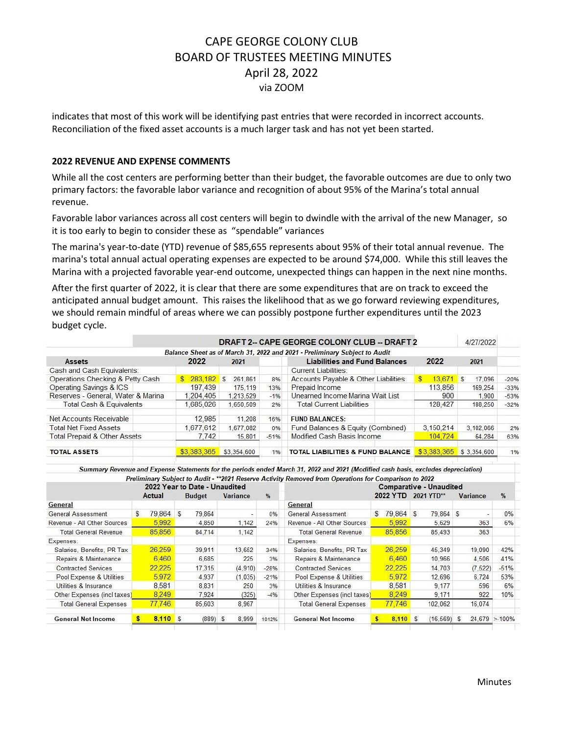indicates that most of this work will be identifying past entries that were recorded in incorrect accounts. Reconciliation of the fixed asset accounts is a much larger task and has not yet been started.

#### **2022 REVENUE AND EXPENSE COMMENTS**

While all the cost centers are performing better than their budget, the favorable outcomes are due to only two primary factors: the favorable labor variance and recognition of about 95% of the Marina's total annual revenue.

Favorable labor variances across all cost centers will begin to dwindle with the arrival of the new Manager, so it is too early to begin to consider these as "spendable" variances

The marina's year-to-date (YTD) revenue of \$85,655 represents about 95% of their total annual revenue. The marina's total annual actual operating expenses are expected to be around \$74,000. While this still leaves the Marina with a projected favorable year-end outcome, unexpected things can happen in the next nine months.

After the first quarter of 2022, it is clear that there are some expenditures that are on track to exceed the anticipated annual budget amount. This raises the likelihood that as we go forward reviewing expenditures, we should remain mindful of areas where we can possibly postpone further expenditures until the 2023 budget cycle.

| DRAFT 2- CAPE GEORGE COLONY CLUB -- DRAFT 2                                |                                  |  |  |  |  |  |  |  |  |
|----------------------------------------------------------------------------|----------------------------------|--|--|--|--|--|--|--|--|
| Balance Sheet as of March 31, 2022 and 2021 - Preliminary Subject to Audit |                                  |  |  |  |  |  |  |  |  |
| <b>Liabilities and Fund Balances</b><br>2022<br>2021                       | 2022<br>2021                     |  |  |  |  |  |  |  |  |
| <b>Current Liabilities:</b>                                                |                                  |  |  |  |  |  |  |  |  |
| Accounts Payable & Other Liabilities<br>283.182 \$<br>S.<br>261.861<br>8%  | $13.671$ \$<br>17.096<br>$-20%$  |  |  |  |  |  |  |  |  |
| Prepaid Income<br>197,439<br>175,119<br>13%                                | 113,856<br>169.254<br>$-33%$     |  |  |  |  |  |  |  |  |
| Unearned Income Marina Wait List<br>1.204.405<br>1.213.529<br>$-1%$        | 900<br>1.900<br>$-53%$           |  |  |  |  |  |  |  |  |
| <b>Total Current Liabilities</b><br>.685.026<br>1.650.509<br>2%            | 128,427<br>188,250<br>$-32%$     |  |  |  |  |  |  |  |  |
| 12.985<br>11.208<br><b>FUND BALANCES:</b><br>16%                           |                                  |  |  |  |  |  |  |  |  |
| Fund Balances & Equity (Combined)<br>1.677.612<br>1.677.082<br>0%          | 3.150.214<br>3.102.066<br>2%     |  |  |  |  |  |  |  |  |
| Modified Cash Basis Income<br>7.742<br>15.801<br>$-51%$                    | 104,724<br>64.284<br>63%         |  |  |  |  |  |  |  |  |
| \$3,383,365<br>\$3,354,600<br>TOTAL LIABILITIES & FUND BALANCE<br>1%       | \$3,383,365<br>1%<br>\$3.354.600 |  |  |  |  |  |  |  |  |
|                                                                            |                                  |  |  |  |  |  |  |  |  |

Summary Revenue and Expense Statements for the periods ended March 31, 2022 and 2021 (Modified cash basis, excludes depreciation) Proliminary Subject to Audit - \*\*\* 2021 Reserve Activity Removed from Operations for Comparison to 2022

| 2022 Year to Date - Unaudited |   |            |          |               |  | Themmally publicated made to the theories weaking neuroned from operations for comparison to total<br><b>Comparative - Unaudited</b> |        |                               |    |            |                |            |    |          |                   |
|-------------------------------|---|------------|----------|---------------|--|--------------------------------------------------------------------------------------------------------------------------------------|--------|-------------------------------|----|------------|----------------|------------|----|----------|-------------------|
|                               |   | Actual     |          | <b>Budget</b> |  | <b>Variance</b>                                                                                                                      | %      |                               |    | 2022 YTD   |                | 2021 YTD** |    | Variance | $\frac{9}{6}$     |
| General                       |   |            |          |               |  |                                                                                                                                      |        | General                       |    |            |                |            |    |          |                   |
| General Assessment            | S | 79.864     | <b>S</b> | 79.864        |  |                                                                                                                                      | 0%     | General Assessment            | S. | 79.864     | $\mathfrak{s}$ | 79.864 \$  |    |          | $0\%$             |
| Revenue - All Other Sources   |   | 5,992      |          | 4.850         |  | 1.142                                                                                                                                | 24%    | Revenue - All Other Sources   |    | 5,992      |                | 5.629      |    | 363      | 6%                |
| <b>Total General Revenue</b>  |   | 85.856     |          | 84,714        |  | 1.142                                                                                                                                |        | <b>Total General Revenue</b>  |    | 85,856     |                | 85,493     |    | 363      |                   |
| Expenses:                     |   |            |          |               |  |                                                                                                                                      |        | Expenses:                     |    |            |                |            |    |          |                   |
| Salaries, Benefits, PR Tax    |   | 26.259     |          | 39.911        |  | 13,652                                                                                                                               | 34%    | Salaries, Benefits, PR Tax    |    | 26,259     |                | 45,349     |    | 19,090   | 42%               |
| Repairs & Maintenance         |   | 6.460      |          | 6.685         |  | 225                                                                                                                                  | 3%     | Repairs & Maintenance         |    | 6.460      |                | 10.966     |    | 4.506    | 41%               |
| <b>Contracted Services</b>    |   | 22.225     |          | 17.315        |  | (4.910)                                                                                                                              | $-28%$ | <b>Contracted Services</b>    |    | 22,225     |                | 14,703     |    | (7.522)  | $-51%$            |
| Pool Expense & Utilities      |   | 5.972      |          | 4.937         |  | (1,035)                                                                                                                              | $-21%$ | Pool Expense & Utilities      |    | 5.972      |                | 12.696     |    | 6.724    | 53%               |
| Utilities & Insurance         |   | 8,581      |          | 8.831         |  | 250                                                                                                                                  | 3%     | Utilities & Insurance         |    | 8,581      |                | 9.177      |    | 596      | 6%                |
| Other Expenses (incl taxes)   |   | 8,249      |          | 7,924         |  | (325)                                                                                                                                | $-4%$  | Other Expenses (incl taxes)   |    | 8,249      |                | 9,171      |    | 922      | 10%               |
| <b>Total General Expenses</b> |   | 77,746     |          | 85,603        |  | 8,967                                                                                                                                |        | <b>Total General Expenses</b> |    | 77.746     |                | 102.062    |    | 16.074   |                   |
| <b>General Net Income</b>     |   | $8,110$ \$ |          | $(889)$ \$    |  | 8,999                                                                                                                                | 1012%  | <b>General Net Income</b>     |    | $8,110$ \$ |                | (16, 569)  | -S |          | $24.679 > -100\%$ |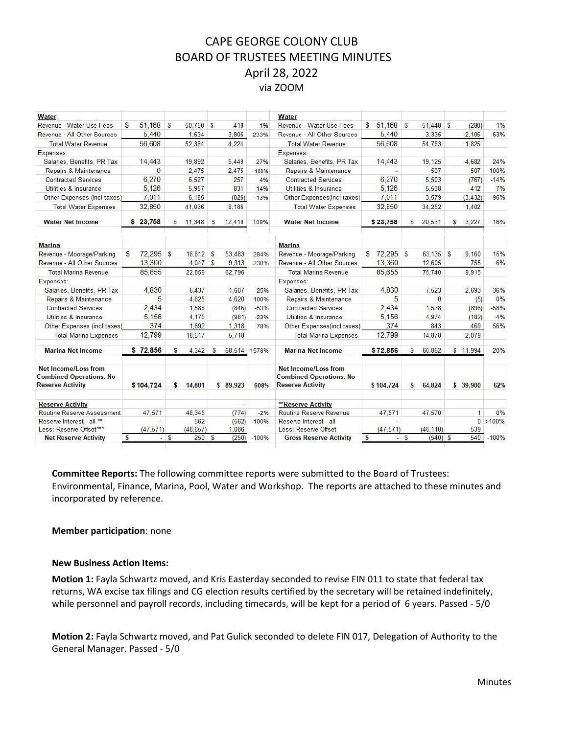| Water                                                                             |              |                        |              |         | Water                                                                             |                         |                    |              |             |
|-----------------------------------------------------------------------------------|--------------|------------------------|--------------|---------|-----------------------------------------------------------------------------------|-------------------------|--------------------|--------------|-------------|
| Revenue - Water Use Fees                                                          | 51.168<br>s  | \$<br>50.750 \$        | 418          | 1%      | Revenue - Water Use Fees                                                          | $$51.168$ \$            | 51.448 \$          | (280)        | $-1%$       |
| Revenue - All Other Sources                                                       | 5,440        | 1.634                  | 3,806        | 233%    | Revenue - All Other Sources                                                       | 5,440                   | 3.335              | 2,105        | 63%         |
| <b>Total Water Revenue</b>                                                        | 56,608       | 52.384                 | 4.224        |         | <b>Total Water Revenue</b>                                                        | 56,608                  | 54.783             | 1.825        |             |
| Expenses:                                                                         |              |                        |              |         | Expenses:                                                                         |                         |                    |              |             |
| Salaries, Benefits, PR Tax                                                        | 14.443       | 19.892                 | 5.449        | 27%     | Salaries, Benefits, PR Tax                                                        | 14,443                  | 19.125             | 4.682        | 24%         |
| Repairs & Maintenance                                                             | $\Omega$     | 2.475                  | 2.475        | 100%    | Repairs & Maintenance                                                             |                         | 507                | 507          | 100%        |
| <b>Contracted Services</b>                                                        | 6.270        | 6.527                  | 257          | 4%      | <b>Contracted Services</b>                                                        | 6,270                   | 5.503              | (767)        | $-14%$      |
| Utilities & Insurance                                                             | 5.126        | 5.957                  | 831          | 14%     | Utilities & Insurance                                                             | 5,126                   | 5,538              | 412          | 7%          |
| Other Expenses (incl taxes)                                                       | 7,011        | 6,185                  | (826)        | $-13%$  | Other Expenses(incl taxes)                                                        | 7,011                   | 3,579              | (3, 432)     | $-96%$      |
| <b>Total Water Expenses</b>                                                       | 32,850       | 41.036                 | 8.186        |         | <b>Total Water Expenses</b>                                                       | 32,850                  | 34,252             | 1.402        |             |
| <b>Water Net Income</b>                                                           | \$23.758     | 11.348<br>S.           | S<br>12.410  | 109%    | <b>Water Net Income</b>                                                           | \$23.758                | 20.531<br>S        | 3.227<br>S   | 16%         |
| <b>Marina</b>                                                                     |              |                        |              |         | <b>Marina</b>                                                                     |                         |                    |              |             |
| Revenue - Moorage/Parking                                                         | 72,295<br>S  | $\mathbb{S}$<br>18,812 | S<br>53.483  | 284%    | Revenue - Moorage/Parking                                                         | 72.295<br>S             | 63.135 \$<br>S     | 9.160        | 15%         |
| Revenue - All Other Sources                                                       | 13.360       | 4,047 \$               | 9,313        | 230%    | Revenue - All Other Sources                                                       | 13.360                  | 12.605             | 755          | 6%          |
| <b>Total Marina Revenue</b>                                                       | 85.655       | 22.859                 | 62.796       |         | <b>Total Marina Revenue</b>                                                       | 85.655                  | 75.740             | 9.915        |             |
| Expenses:                                                                         |              |                        |              |         | Expenses:                                                                         |                         |                    |              |             |
| Salaries, Benefits, PR Tax                                                        | 4.830        | 6.437                  | 1.607        | 25%     | Salaries, Benefits, PR Tax                                                        | 4.830                   | 7.523              | 2.693        | 36%         |
| Repairs & Maintenance                                                             | 5            | 4.625                  | 4.620        | 100%    | Repairs & Maintenance                                                             | 5                       | $\Omega$           | (5)          | 0%          |
| <b>Contracted Services</b>                                                        | 2,434        | 1.588                  | (846)        | $-53%$  | <b>Contracted Services</b>                                                        | 2.434                   | 1.538              | (896)        | $-58%$      |
| Utilities & Insurance                                                             | 5,156        | 4.175                  | (981)        | $-23%$  | Utilities & Insurance                                                             | 5.156                   | 4.974              | (182)        | $-4%$       |
| Other Expenses (incl taxes)                                                       | 374          | 1,692                  | 1,318        | 78%     | Other Expenses(incl taxes)                                                        | 374                     | 843                | 469          | 56%         |
| <b>Total Marina Expenses</b>                                                      | 12,799       | 18.517                 | 5.718        |         | <b>Total Marina Expenses</b>                                                      | 12.799                  | 14.878             | 2.079        |             |
| <b>Marina Net Income</b>                                                          | \$72,856     | 4.342<br>S             | \$<br>68.514 | 1578%   | <b>Marina Net Income</b>                                                          | \$72,856                | 60.862<br>S        | \$11.994     | 20%         |
| Net Income/Loss from<br><b>Combined Operations, No</b><br><b>Reserve Activity</b> | \$104.724    | 14,801<br>s            | \$89,923     | 608%    | Net Income/Loss from<br><b>Combined Operations, No</b><br><b>Reserve Activity</b> | \$104,724               | \$<br>64.824       | \$39,900     | 62%         |
| <b>Reserve Activity</b>                                                           |              |                        |              |         | **Reserve Activity                                                                |                         |                    |              |             |
| Routine Reserve Assessment                                                        | 47.571       | 48.345                 | (774)        | $-2%$   | Routine Reserve Revenue                                                           | 47,571                  | 47,570             | $\mathbf{1}$ | 0%          |
| Reserve Interest - all **                                                         |              | 562                    | (562)        | $-100%$ | Reserve Interest - all                                                            |                         |                    |              | $0 > 100\%$ |
| Less: Reserve Offset***                                                           | (47.571)     | (48, 657)              | 1,086        |         | Less: Reserve Offset                                                              | (47.571)                | (48, 110)          | 539          |             |
| <b>Net Reserve Activity</b>                                                       | $\mathbf{s}$ | $-5$<br>250S           | (250)        | $-100%$ | <b>Gross Reserve Activity</b>                                                     | $\overline{\mathbf{s}}$ | $-5$<br>$(540)$ \$ | 540          | $-100%$     |

**Committee Reports:** The following committee reports were submitted to the Board of Trustees: Environmental, Finance, Marina, Pool, Water and Workshop. The reports are attached to these minutes and incorporated by reference.

#### **Member participation**: none

#### **New Business Action Items:**

**Motion 1:** Fayla Schwartz moved, and Kris Easterday seconded to revise FIN 011 to state that federal tax returns, WA excise tax filings and CG election results certified by the secretary will be retained indefinitely, while personnel and payroll records, including timecards, will be kept for a period of 6 years. Passed - 5/0

**Motion 2:** Fayla Schwartz moved, and Pat Gulick seconded to delete FIN 017, Delegation of Authority to the General Manager. Passed - 5/0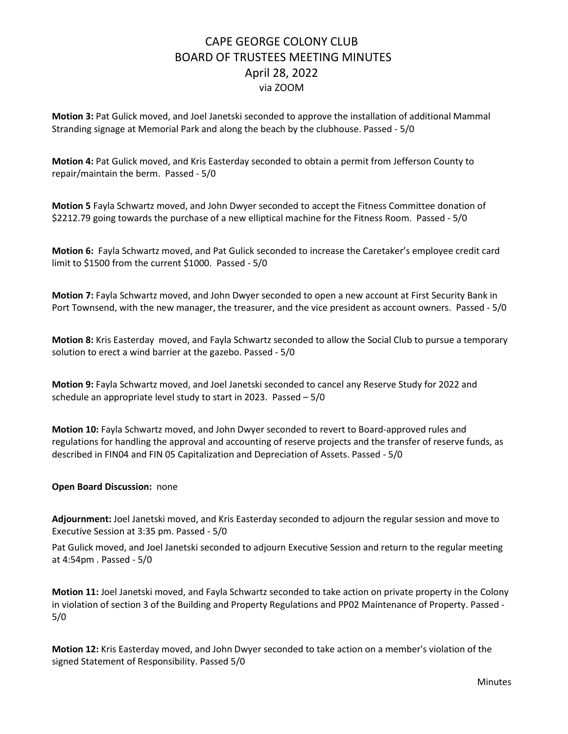**Motion 3:** Pat Gulick moved, and Joel Janetski seconded to approve the installation of additional Mammal Stranding signage at Memorial Park and along the beach by the clubhouse. Passed - 5/0

**Motion 4:** Pat Gulick moved, and Kris Easterday seconded to obtain a permit from Jefferson County to repair/maintain the berm. Passed - 5/0

**Motion 5** Fayla Schwartz moved, and John Dwyer seconded to accept the Fitness Committee donation of \$2212.79 going towards the purchase of a new elliptical machine for the Fitness Room. Passed - 5/0

**Motion 6:** Fayla Schwartz moved, and Pat Gulick seconded to increase the Caretaker's employee credit card limit to \$1500 from the current \$1000. Passed - 5/0

**Motion 7:** Fayla Schwartz moved, and John Dwyer seconded to open a new account at First Security Bank in Port Townsend, with the new manager, the treasurer, and the vice president as account owners. Passed - 5/0

**Motion 8:** Kris Easterday moved, and Fayla Schwartz seconded to allow the Social Club to pursue a temporary solution to erect a wind barrier at the gazebo. Passed - 5/0

**Motion 9:** Fayla Schwartz moved, and Joel Janetski seconded to cancel any Reserve Study for 2022 and schedule an appropriate level study to start in 2023. Passed – 5/0

**Motion 10:** Fayla Schwartz moved, and John Dwyer seconded to revert to Board-approved rules and regulations for handling the approval and accounting of reserve projects and the transfer of reserve funds, as described in FIN04 and FIN 05 Capitalization and Depreciation of Assets. Passed - 5/0

**Open Board Discussion:** none

**Adjournment:** Joel Janetski moved, and Kris Easterday seconded to adjourn the regular session and move to Executive Session at 3:35 pm. Passed - 5/0

Pat Gulick moved, and Joel Janetski seconded to adjourn Executive Session and return to the regular meeting at 4:54pm . Passed - 5/0

**Motion 11:** Joel Janetski moved, and Fayla Schwartz seconded to take action on private property in the Colony in violation of section 3 of the Building and Property Regulations and PP02 Maintenance of Property. Passed - 5/0

**Motion 12:** Kris Easterday moved, and John Dwyer seconded to take action on a member's violation of the signed Statement of Responsibility. Passed 5/0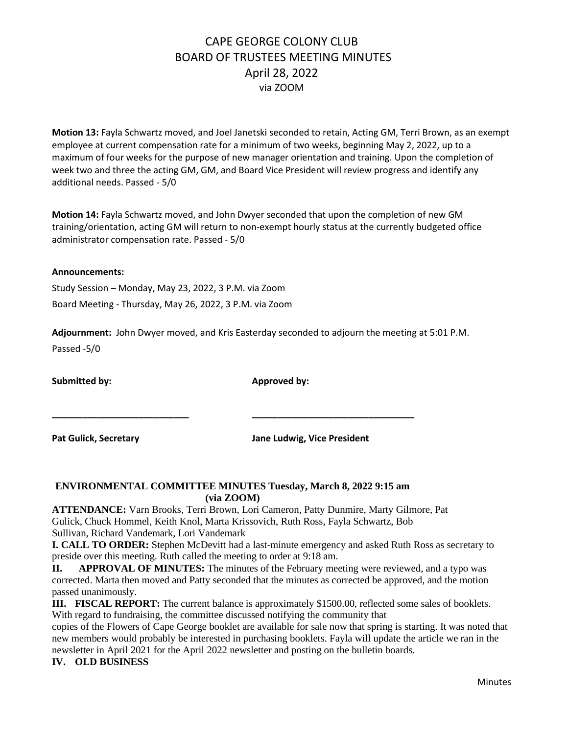**Motion 13:** Fayla Schwartz moved, and Joel Janetski seconded to retain, Acting GM, Terri Brown, as an exempt employee at current compensation rate for a minimum of two weeks, beginning May 2, 2022, up to a maximum of four weeks for the purpose of new manager orientation and training. Upon the completion of week two and three the acting GM, GM, and Board Vice President will review progress and identify any additional needs. Passed - 5/0

**Motion 14:** Fayla Schwartz moved, and John Dwyer seconded that upon the completion of new GM training/orientation, acting GM will return to non-exempt hourly status at the currently budgeted office administrator compensation rate. Passed - 5/0

#### **Announcements:**

Study Session – Monday, May 23, 2022, 3 P.M. via Zoom Board Meeting - Thursday, May 26, 2022, 3 P.M. via Zoom

**Adjournment:** John Dwyer moved, and Kris Easterday seconded to adjourn the meeting at 5:01 P.M. Passed -5/0

Submitted by: **Approved by: Approved by: Approved by:** 

**Pat Gulick, Secretary Jane Ludwig, Vice President**

### **ENVIRONMENTAL COMMITTEE MINUTES Tuesday, March 8, 2022 9:15 am (via ZOOM)**

**\_\_\_\_\_\_\_\_\_\_\_\_\_\_\_\_\_\_\_\_\_\_\_\_\_\_\_ \_\_\_\_\_\_\_\_\_\_\_\_\_\_\_\_\_\_\_\_\_\_\_\_\_\_\_\_\_\_\_\_**

**ATTENDANCE:** Varn Brooks, Terri Brown, Lori Cameron, Patty Dunmire, Marty Gilmore, Pat Gulick, Chuck Hommel, Keith Knol, Marta Krissovich, Ruth Ross, Fayla Schwartz, Bob Sullivan, Richard Vandemark, Lori Vandemark

**I. CALL TO ORDER:** Stephen McDevitt had a last-minute emergency and asked Ruth Ross as secretary to preside over this meeting. Ruth called the meeting to order at 9:18 am.

**II. APPROVAL OF MINUTES:** The minutes of the February meeting were reviewed, and a typo was corrected. Marta then moved and Patty seconded that the minutes as corrected be approved, and the motion passed unanimously.

**III. FISCAL REPORT:** The current balance is approximately \$1500.00, reflected some sales of booklets. With regard to fundraising, the committee discussed notifying the community that

copies of the Flowers of Cape George booklet are available for sale now that spring is starting. It was noted that new members would probably be interested in purchasing booklets. Fayla will update the article we ran in the newsletter in April 2021 for the April 2022 newsletter and posting on the bulletin boards.

#### **IV. OLD BUSINESS**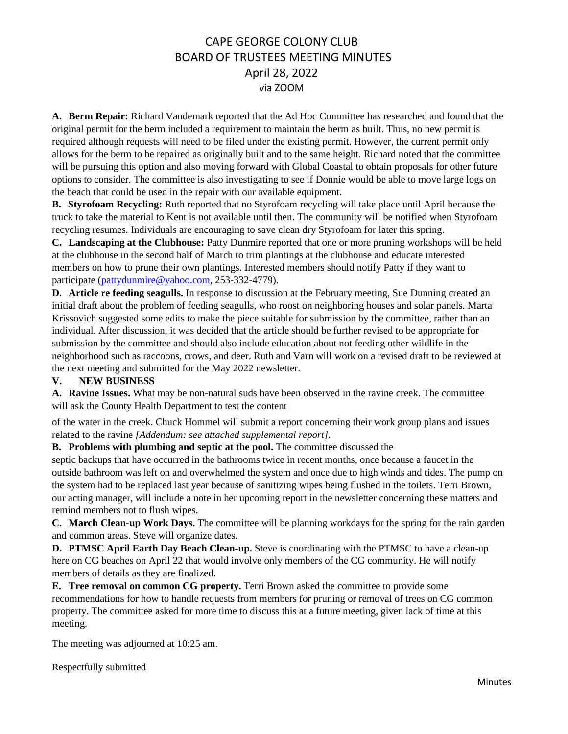**A. Berm Repair:** Richard Vandemark reported that the Ad Hoc Committee has researched and found that the original permit for the berm included a requirement to maintain the berm as built. Thus, no new permit is required although requests will need to be filed under the existing permit. However, the current permit only allows for the berm to be repaired as originally built and to the same height. Richard noted that the committee will be pursuing this option and also moving forward with Global Coastal to obtain proposals for other future options to consider. The committee is also investigating to see if Donnie would be able to move large logs on the beach that could be used in the repair with our available equipment.

**B. Styrofoam Recycling:** Ruth reported that no Styrofoam recycling will take place until April because the truck to take the material to Kent is not available until then. The community will be notified when Styrofoam recycling resumes. Individuals are encouraging to save clean dry Styrofoam for later this spring.

**C. Landscaping at the Clubhouse:** Patty Dunmire reported that one or more pruning workshops will be held at the clubhouse in the second half of March to trim plantings at the clubhouse and educate interested members on how to prune their own plantings. Interested members should notify Patty if they want to participate [\(pattydunmire@yahoo.com,](mailto:pattydunmire@yahoo.com) 253-332-4779).

**D. Article re feeding seagulls.** In response to discussion at the February meeting, Sue Dunning created an initial draft about the problem of feeding seagulls, who roost on neighboring houses and solar panels. Marta Krissovich suggested some edits to make the piece suitable for submission by the committee, rather than an individual. After discussion, it was decided that the article should be further revised to be appropriate for submission by the committee and should also include education about not feeding other wildlife in the neighborhood such as raccoons, crows, and deer. Ruth and Varn will work on a revised draft to be reviewed at the next meeting and submitted for the May 2022 newsletter.

### **V. NEW BUSINESS**

**A. Ravine Issues.** What may be non-natural suds have been observed in the ravine creek. The committee will ask the County Health Department to test the content

of the water in the creek. Chuck Hommel will submit a report concerning their work group plans and issues related to the ravine *[Addendum: see attached supplemental report]*.

**B. Problems with plumbing and septic at the pool.** The committee discussed the

septic backups that have occurred in the bathrooms twice in recent months, once because a faucet in the outside bathroom was left on and overwhelmed the system and once due to high winds and tides. The pump on the system had to be replaced last year because of sanitizing wipes being flushed in the toilets. Terri Brown, our acting manager, will include a note in her upcoming report in the newsletter concerning these matters and remind members not to flush wipes.

**C. March Clean-up Work Days.** The committee will be planning workdays for the spring for the rain garden and common areas. Steve will organize dates.

**D. PTMSC April Earth Day Beach Clean-up.** Steve is coordinating with the PTMSC to have a clean-up here on CG beaches on April 22 that would involve only members of the CG community. He will notify members of details as they are finalized.

**E. Tree removal on common CG property.** Terri Brown asked the committee to provide some recommendations for how to handle requests from members for pruning or removal of trees on CG common property. The committee asked for more time to discuss this at a future meeting, given lack of time at this meeting.

The meeting was adjourned at 10:25 am.

Respectfully submitted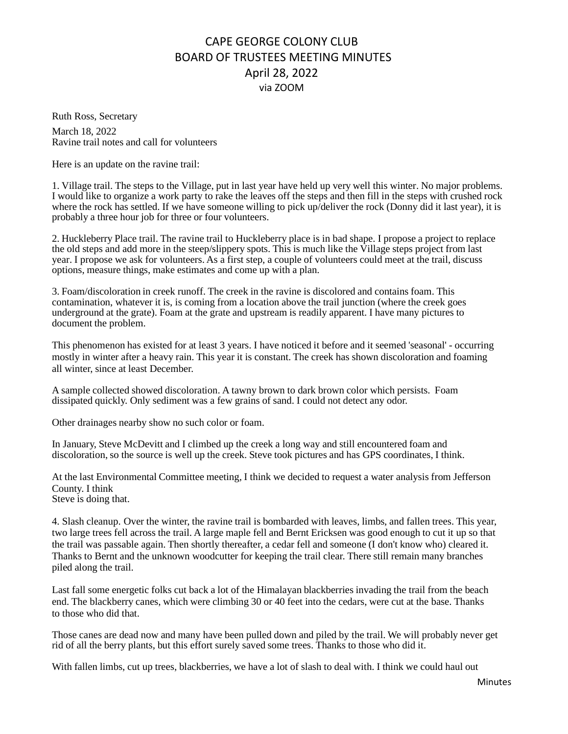Ruth Ross, Secretary March 18, 2022 Ravine trail notes and call for volunteers

Here is an update on the ravine trail:

1. Village trail. The steps to the Village, put in last year have held up very well this winter. No major problems. I would like to organize a work party to rake the leaves off the steps and then fill in the steps with crushed rock where the rock has settled. If we have someone willing to pick up/deliver the rock (Donny did it last year), it is probably a three hour job for three or four volunteers.

2. Huckleberry Place trail. The ravine trail to Huckleberry place is in bad shape. I propose a project to replace the old steps and add more in the steep/slippery spots. This is much like the Village steps project from last year. I propose we ask for volunteers. As a first step, a couple of volunteers could meet at the trail, discuss options, measure things, make estimates and come up with a plan.

3. Foam/discoloration in creek runoff. The creek in the ravine is discolored and contains foam. This contamination, whatever it is, is coming from a location above the trail junction (where the creek goes underground at the grate). Foam at the grate and upstream is readily apparent. I have many pictures to document the problem.

This phenomenon has existed for at least 3 years. I have noticed it before and it seemed 'seasonal' - occurring mostly in winter after a heavy rain. This year it is constant. The creek has shown discoloration and foaming all winter, since at least December.

A sample collected showed discoloration. A tawny brown to dark brown color which persists. Foam dissipated quickly. Only sediment was a few grains of sand. I could not detect any odor.

Other drainages nearby show no such color or foam.

In January, Steve McDevitt and I climbed up the creek a long way and still encountered foam and discoloration, so the source is well up the creek. Steve took pictures and has GPS coordinates, I think.

At the last Environmental Committee meeting, I think we decided to request a water analysis from Jefferson County. I think Steve is doing that.

4. Slash cleanup. Over the winter, the ravine trail is bombarded with leaves, limbs, and fallen trees. This year, two large trees fell across the trail. A large maple fell and Bernt Ericksen was good enough to cut it up so that the trail was passable again. Then shortly thereafter, a cedar fell and someone (I don't know who) cleared it. Thanks to Bernt and the unknown woodcutter for keeping the trail clear. There still remain many branches piled along the trail.

Last fall some energetic folks cut back a lot of the Himalayan blackberries invading the trail from the beach end. The blackberry canes, which were climbing 30 or 40 feet into the cedars, were cut at the base. Thanks to those who did that.

Those canes are dead now and many have been pulled down and piled by the trail. We will probably never get rid of all the berry plants, but this effort surely saved some trees. Thanks to those who did it.

With fallen limbs, cut up trees, blackberries, we have a lot of slash to deal with. I think we could haul out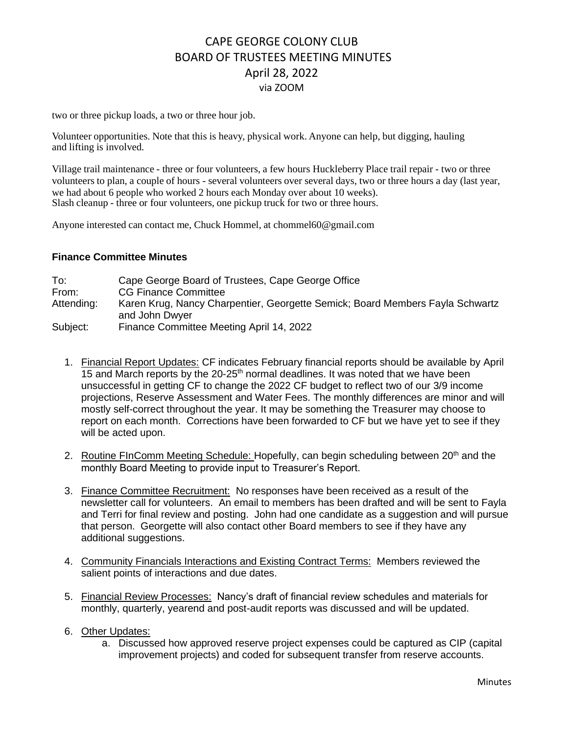two or three pickup loads, a two or three hour job.

Volunteer opportunities. Note that this is heavy, physical work. Anyone can help, but digging, hauling and lifting is involved.

Village trail maintenance - three or four volunteers, a few hours Huckleberry Place trail repair - two or three volunteers to plan, a couple of hours - several volunteers over several days, two or three hours a day (last year, we had about 6 people who worked 2 hours each Monday over about 10 weeks). Slash cleanup - three or four volunteers, one pickup truck for two or three hours.

Anyone interested can contact me, Chuck Hommel, at [chommel60@gmail.com](mailto:chommel60@gmail.com)

#### **Finance Committee Minutes**

To: Cape George Board of Trustees, Cape George Office From: CG Finance Committee Attending: Karen Krug, Nancy Charpentier, Georgette Semick; Board Members Fayla Schwartz and John Dwyer Subject: Finance Committee Meeting April 14, 2022

- 1. Financial Report Updates: CF indicates February financial reports should be available by April 15 and March reports by the  $20-25<sup>th</sup>$  normal deadlines. It was noted that we have been unsuccessful in getting CF to change the 2022 CF budget to reflect two of our 3/9 income projections, Reserve Assessment and Water Fees. The monthly differences are minor and will mostly self-correct throughout the year. It may be something the Treasurer may choose to report on each month. Corrections have been forwarded to CF but we have yet to see if they will be acted upon.
- 2. Routine FInComm Meeting Schedule: Hopefully, can begin scheduling between 20<sup>th</sup> and the monthly Board Meeting to provide input to Treasurer's Report.
- 3. Finance Committee Recruitment: No responses have been received as a result of the newsletter call for volunteers. An email to members has been drafted and will be sent to Fayla and Terri for final review and posting. John had one candidate as a suggestion and will pursue that person. Georgette will also contact other Board members to see if they have any additional suggestions.
- 4. Community Financials Interactions and Existing Contract Terms: Members reviewed the salient points of interactions and due dates.
- 5. Financial Review Processes: Nancy's draft of financial review schedules and materials for monthly, quarterly, yearend and post-audit reports was discussed and will be updated.
- 6. Other Updates:
	- a. Discussed how approved reserve project expenses could be captured as CIP (capital improvement projects) and coded for subsequent transfer from reserve accounts.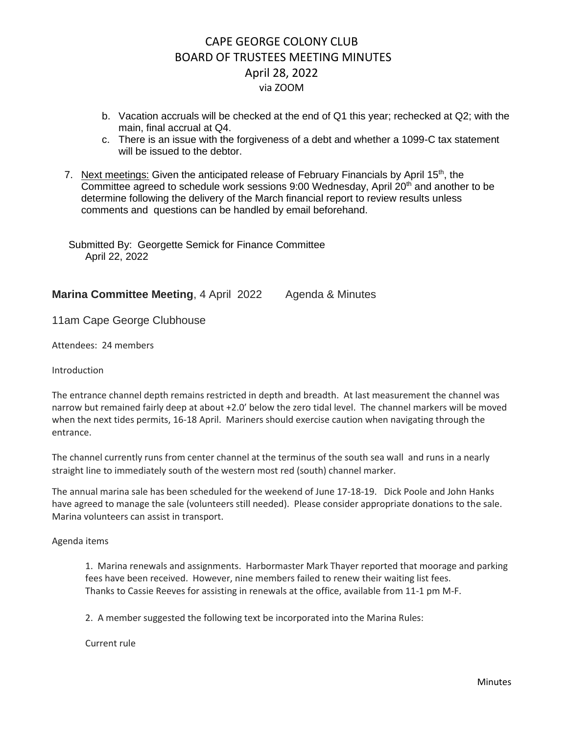- b. Vacation accruals will be checked at the end of Q1 this year; rechecked at Q2; with the main, final accrual at Q4.
- c. There is an issue with the forgiveness of a debt and whether a 1099-C tax statement will be issued to the debtor.
- 7. Next meetings: Given the anticipated release of February Financials by April 15<sup>th</sup>, the Committee agreed to schedule work sessions  $9:00$  Wednesday, April  $20<sup>th</sup>$  and another to be determine following the delivery of the March financial report to review results unless comments and questions can be handled by email beforehand.

Submitted By: Georgette Semick for Finance Committee April 22, 2022

**Marina Committee Meeting, 4 April 2022 Agenda & Minutes** 

11am Cape George Clubhouse

Attendees: 24 members

Introduction

The entrance channel depth remains restricted in depth and breadth. At last measurement the channel was narrow but remained fairly deep at about +2.0' below the zero tidal level. The channel markers will be moved when the next tides permits, 16-18 April. Mariners should exercise caution when navigating through the entrance.

The channel currently runs from center channel at the terminus of the south sea wall and runs in a nearly straight line to immediately south of the western most red (south) channel marker.

The annual marina sale has been scheduled for the weekend of June 17-18-19. Dick Poole and John Hanks have agreed to manage the sale (volunteers still needed). Please consider appropriate donations to the sale. Marina volunteers can assist in transport.

Agenda items

1. Marina renewals and assignments. Harbormaster Mark Thayer reported that moorage and parking fees have been received. However, nine members failed to renew their waiting list fees. Thanks to Cassie Reeves for assisting in renewals at the office, available from 11-1 pm M-F.

2. A member suggested the following text be incorporated into the Marina Rules:

Current rule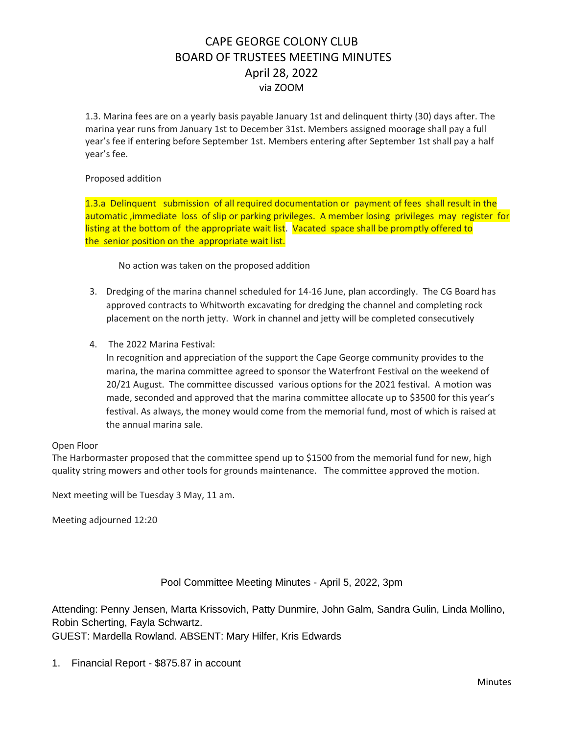1.3. Marina fees are on a yearly basis payable January 1st and delinquent thirty (30) days after. The marina year runs from January 1st to December 31st. Members assigned moorage shall pay a full year's fee if entering before September 1st. Members entering after September 1st shall pay a half year's fee.

#### Proposed addition

1.3.a Delinquent submission of all required documentation or payment of fees shall result in the automatic ,immediate loss of slip or parking privileges. A member losing privileges may register for listing at the bottom of the appropriate wait list. Vacated space shall be promptly offered to the senior position on the appropriate wait list.

No action was taken on the proposed addition

- 3. Dredging of the marina channel scheduled for 14-16 June, plan accordingly. The CG Board has approved contracts to Whitworth excavating for dredging the channel and completing rock placement on the north jetty. Work in channel and jetty will be completed consecutively
- 4. The 2022 Marina Festival:

In recognition and appreciation of the support the Cape George community provides to the marina, the marina committee agreed to sponsor the Waterfront Festival on the weekend of 20/21 August. The committee discussed various options for the 2021 festival. A motion was made, seconded and approved that the marina committee allocate up to \$3500 for this year's festival. As always, the money would come from the memorial fund, most of which is raised at the annual marina sale.

#### Open Floor

The Harbormaster proposed that the committee spend up to \$1500 from the memorial fund for new, high quality string mowers and other tools for grounds maintenance. The committee approved the motion.

Next meeting will be Tuesday 3 May, 11 am.

Meeting adjourned 12:20

#### Pool Committee Meeting Minutes - April 5, 2022, 3pm

Attending: Penny Jensen, Marta Krissovich, Patty Dunmire, John Galm, Sandra Gulin, Linda Mollino, Robin Scherting, Fayla Schwartz. GUEST: Mardella Rowland. ABSENT: Mary Hilfer, Kris Edwards

1. Financial Report - \$875.87 in account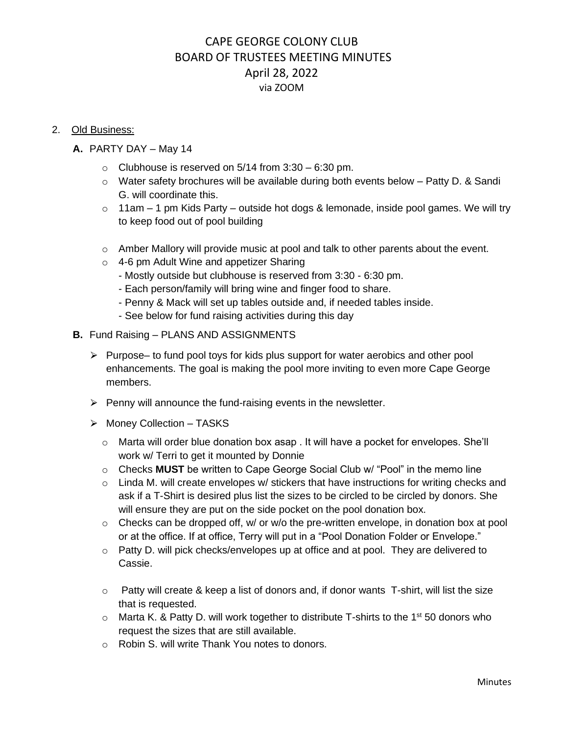#### 2. Old Business:

- **A.** PARTY DAY May 14
	- $\circ$  Clubhouse is reserved on 5/14 from 3:30 6:30 pm.
	- o Water safety brochures will be available during both events below Patty D. & Sandi G. will coordinate this.
	- $\circ$  11am 1 pm Kids Party outside hot dogs & lemonade, inside pool games. We will try to keep food out of pool building
	- o Amber Mallory will provide music at pool and talk to other parents about the event.
	- o 4-6 pm Adult Wine and appetizer Sharing
		- Mostly outside but clubhouse is reserved from 3:30 6:30 pm.
		- Each person/family will bring wine and finger food to share.
		- Penny & Mack will set up tables outside and, if needed tables inside.
		- See below for fund raising activities during this day
- **B.** Fund Raising PLANS AND ASSIGNMENTS
	- $\triangleright$  Purpose– to fund pool toys for kids plus support for water aerobics and other pool enhancements. The goal is making the pool more inviting to even more Cape George members.
	- $\triangleright$  Penny will announce the fund-raising events in the newsletter.
	- ⮚ Money Collection TASKS
		- $\circ$  Marta will order blue donation box asap . It will have a pocket for envelopes. She'll work w/ Terri to get it mounted by Donnie
		- o Checks **MUST** be written to Cape George Social Club w/ "Pool" in the memo line
		- $\circ$  Linda M. will create envelopes w/ stickers that have instructions for writing checks and ask if a T-Shirt is desired plus list the sizes to be circled to be circled by donors. She will ensure they are put on the side pocket on the pool donation box.
		- $\circ$  Checks can be dropped off, w/ or w/o the pre-written envelope, in donation box at pool or at the office. If at office, Terry will put in a "Pool Donation Folder or Envelope."
		- $\circ$  Patty D. will pick checks/envelopes up at office and at pool. They are delivered to Cassie.
		- $\circ$  Patty will create & keep a list of donors and, if donor wants T-shirt, will list the size that is requested.
		- $\circ$  Marta K. & Patty D. will work together to distribute T-shirts to the 1<sup>st</sup> 50 donors who request the sizes that are still available.
		- o Robin S. will write Thank You notes to donors.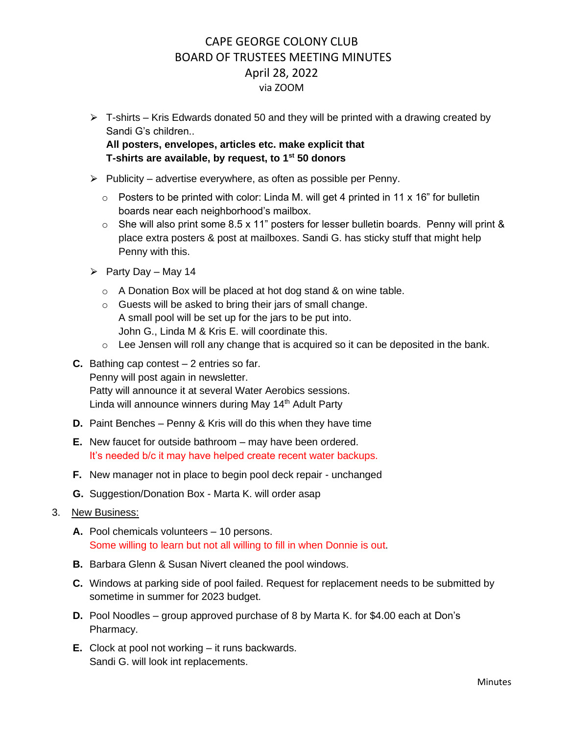- $\triangleright$  T-shirts Kris Edwards donated 50 and they will be printed with a drawing created by Sandi G's children.. **All posters, envelopes, articles etc. make explicit that T-shirts are available, by request, to 1st 50 donors**
- $\triangleright$  Publicity advertise everywhere, as often as possible per Penny.
	- $\circ$  Posters to be printed with color: Linda M. will get 4 printed in 11 x 16" for bulletin boards near each neighborhood's mailbox.
	- $\circ$  She will also print some 8.5 x 11" posters for lesser bulletin boards. Penny will print & place extra posters & post at mailboxes. Sandi G. has sticky stuff that might help Penny with this.
- $\triangleright$  Party Day May 14
	- o A Donation Box will be placed at hot dog stand & on wine table.
	- o Guests will be asked to bring their jars of small change. A small pool will be set up for the jars to be put into. John G., Linda M & Kris E. will coordinate this.
	- o Lee Jensen will roll any change that is acquired so it can be deposited in the bank.
- **C.** Bathing cap contest 2 entries so far. Penny will post again in newsletter. Patty will announce it at several Water Aerobics sessions. Linda will announce winners during May 14<sup>th</sup> Adult Party
- **D.** Paint Benches Penny & Kris will do this when they have time
- **E.** New faucet for outside bathroom may have been ordered. It's needed b/c it may have helped create recent water backups.
- **F.** New manager not in place to begin pool deck repair unchanged
- **G.** Suggestion/Donation Box Marta K. will order asap
- 3. New Business:
	- **A.** Pool chemicals volunteers 10 persons. Some willing to learn but not all willing to fill in when Donnie is out.
	- **B.** Barbara Glenn & Susan Nivert cleaned the pool windows.
	- **C.** Windows at parking side of pool failed. Request for replacement needs to be submitted by sometime in summer for 2023 budget.
	- **D.** Pool Noodles group approved purchase of 8 by Marta K. for \$4.00 each at Don's Pharmacy.
	- **E.** Clock at pool not working it runs backwards. Sandi G. will look int replacements.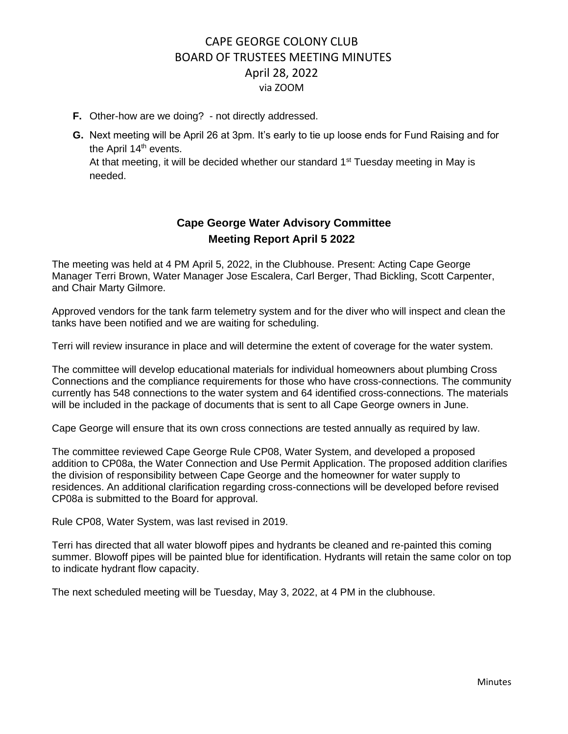- **F.** Other-how are we doing? not directly addressed.
- **G.** Next meeting will be April 26 at 3pm. It's early to tie up loose ends for Fund Raising and for the April 14<sup>th</sup> events.

At that meeting, it will be decided whether our standard 1<sup>st</sup> Tuesday meeting in May is needed.

# **Cape George Water Advisory Committee Meeting Report April 5 2022**

The meeting was held at 4 PM April 5, 2022, in the Clubhouse. Present: Acting Cape George Manager Terri Brown, Water Manager Jose Escalera, Carl Berger, Thad Bickling, Scott Carpenter, and Chair Marty Gilmore.

Approved vendors for the tank farm telemetry system and for the diver who will inspect and clean the tanks have been notified and we are waiting for scheduling.

Terri will review insurance in place and will determine the extent of coverage for the water system.

The committee will develop educational materials for individual homeowners about plumbing Cross Connections and the compliance requirements for those who have cross-connections. The community currently has 548 connections to the water system and 64 identified cross-connections. The materials will be included in the package of documents that is sent to all Cape George owners in June.

Cape George will ensure that its own cross connections are tested annually as required by law.

The committee reviewed Cape George Rule CP08, Water System, and developed a proposed addition to CP08a, the Water Connection and Use Permit Application. The proposed addition clarifies the division of responsibility between Cape George and the homeowner for water supply to residences. An additional clarification regarding cross-connections will be developed before revised CP08a is submitted to the Board for approval.

Rule CP08, Water System, was last revised in 2019.

Terri has directed that all water blowoff pipes and hydrants be cleaned and re-painted this coming summer. Blowoff pipes will be painted blue for identification. Hydrants will retain the same color on top to indicate hydrant flow capacity.

The next scheduled meeting will be Tuesday, May 3, 2022, at 4 PM in the clubhouse.